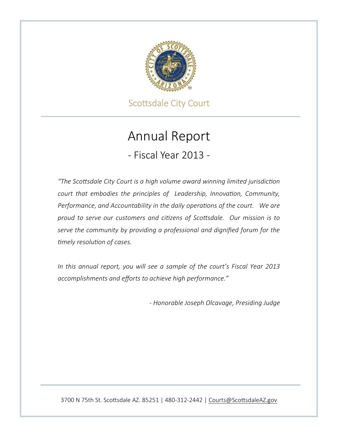

Scottsdale City Court

# Annual Report

- Fiscal Year 2013 -

*"The Scottsdale City Court is a high volume award winning limited jurisdiction court that embodies the principles of Leadership, Innovation, Community, Performance, and Accountability in the daily operations of the court. We are proud to serve our customers and citizens of Scottsdale. Our mission is to serve the community by providing a professional and dignified forum for the timely resolution of cases.*

*In this annual report, you will see a sample of the court's Fiscal Year 2013 accomplishments and efforts to achieve high performance."*

*- Honorable Joseph Olcavage, Presiding Judge*

3700 N 75th St. Scottsdale AZ. 85251 | 480-312-2442 | [Courts@ScottsdaleAZ.gov](mailto:Courts@ScottsdaleAZ.gov)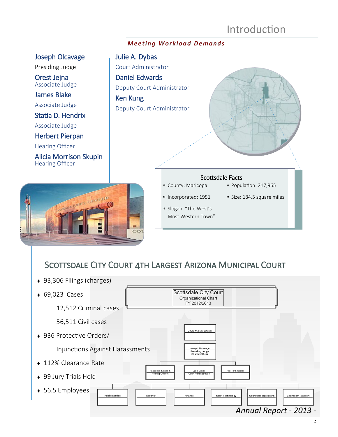## Introduction

#### *M e e t i n g W o r k l o a d D e m a n d s*

#### Joseph Olcavage

Presiding Judge

Orest Jejna Associate Judge

James Blake Associate Judge

Statia D. Hendrix

Associate Judge

Herbert Pierpan

Hearing Officer

Alicia Morrison Skupin Hearing Officer



## Julie A. Dybas Court Administrator Daniel Edwards Deputy Court Administrator Ken Kung Deputy Court Administrator County: Maricopa Incorporated: 1951 Slogan: "The West's Population: 217,965 Size: 184.5 square miles Scottsdale Facts

Most Western Town"

## SCOTTSDALE CITY COURT 4TH LARGEST ARIZONA MUNICIPAL COURT

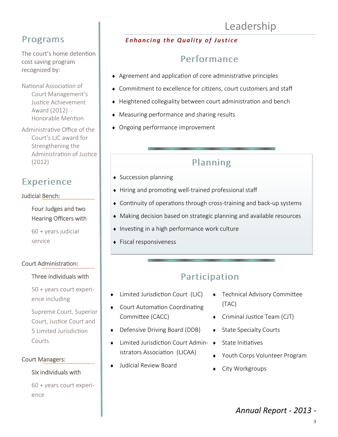# Leadership

## Programs

The court's home detention cost saving program recognized by:

National Association of Court Management's Justice Achievement Award (2012) - Honorable Mention

Administrative Office of the Court's LJC award for Strengthening the Administration of Justice (2012)

## Experience

#### Judicial Bench:

 Four Judges and two Hearing Officers with

60 + years judicial service

#### Court Administration:

#### Three individuals with

 50 + years court experience including

Supreme Court, Superior Court, Justice Court and 5 Limited Jurisdiction Courts

#### Court Managers:

#### Six individuals with

60 + years court experience

### **Enhancing the Quality of Justice**

## Performance

- Agreement and application of core administrative principles
- Commitment to excellence for citizens, court customers and staff
- Heightened collegiality between court administration and bench
- Measuring performance and sharing results
- Ongoing performance improvement

## Planning

- ◆ Succession planning
- Hiring and promoting well-trained professional staff
- Continuity of operations through cross-training and back-up systems
- Making decision based on strategic planning and available resources
- $\bullet$  Investing in a high performance work culture
- ◆ Fiscal responsiveness

## Participation

- Limited Jurisdiction Court (LJC)
- Court Automation Coordinating Committee (CACC)
- ◆ Defensive Driving Board (DDB)
- $\bullet$  Limited Jurisdiction Court Admin-  $\bullet$ istrators Association (LJCAA)
- Judicial Review Board
- Technical Advisory Committee (TAC)
- Criminal Justice Team (CJT)
- State Specialty Courts
- State Initiatives
- Youth Corps Volunteer Program
- City Workgroups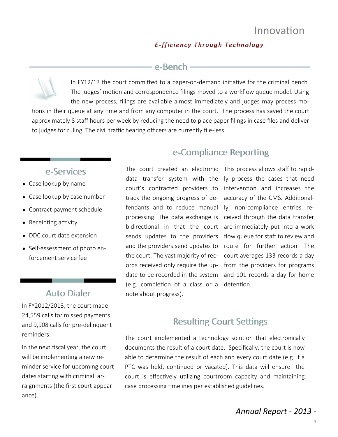#### *E -f f i c i e n c y T h r o u g h T e c h n o l o g y*

### e-Bench

In FY12/13 the court committed to a paper-on-demand initiative for the criminal bench. The judges' motion and correspondence filings moved to a workflow queue model. Using the new process, filings are available almost immediately and judges may process motions in their queue at any time and from any computer in the court. The process has saved the court approximately 8 staff hours per week by reducing the need to place paper filings in case files and deliver to judges for ruling. The civil traffic hearing officers are currently file-less.

### e-Services

- Case lookup by name
- Case lookup by case number
- Contract payment schedule
- $\triangleleft$  Receipting activity
- ◆ DDC court date extension
- Self-assessment of photo enforcement service fee

## Auto Dialer

In FY2012/2013, the court made 24,559 calls for missed payments and 9,908 calls for pre-delinquent reminders.

In the next fiscal year, the court will be implementing a new reminder service for upcoming court dates starting with criminal arraignments (the first court appearance).

## e-Compliance Reporting

data transfer system with the court's contracted providers to intervention and increases the track the ongoing progress of de-accuracy of the CMS. Additionalfendants and to reduce manual ly, non-compliance entries reprocessing. The data exchange is ceived through the data transfer bidirectional in that the court are immediately put into a work sends updates to the providers flow queue for staff to review and and the providers send updates to the court. The vast majority of rec-court averages 133 records a day ords received only require the up-from the providers for programs date to be recorded in the system and 101 records a day for home (e.g. completion of a class or a detention. note about progress).

The court created an electronic This process allows staff to rapidly process the cases that need route for further action. The

## Resulting Court Settings

The court implemented a technology solution that electronically documents the result of a court date. Specifically, the court is now able to determine the result of each and every court date (e.g. if a PTC was held, continued or vacated). This data will ensure the court is effectively utilizing courtroom capacity and maintaining case processing timelines per established guidelines.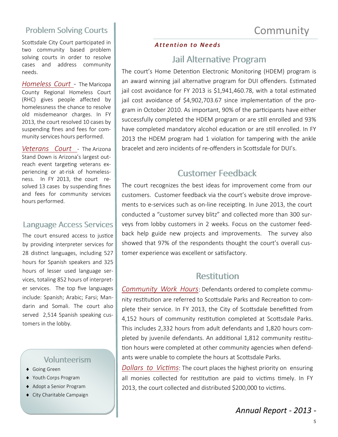### Problem Solving Courts

Scottsdale City Court participated in two community based problem solving courts in order to resolve cases and address community needs.

*Homeless Court* - The Maricopa County Regional Homeless Court (RHC) gives people affected by homelessness the chance to resolve old misdemeanor charges. In FY 2013, the court resolved 10 cases by suspending fines and fees for community services hours performed.

*Veterans Court* - The Arizona Stand Down is Arizona's largest outreach event targeting veterans experiencing or at-risk of homelessness. In FY 2013, the court resolved 13 cases by suspending fines and fees for community services hours performed.

#### Language Access Services

The court ensured access to justice by providing interpreter services for 28 distinct languages, including 527 hours for Spanish speakers and 325 hours of lesser used language services, totaling 852 hours of interpreter services. The top five languages include: Spanish; Arabic; Farsi; Mandarin and Somali. The court also served 2,514 Spanish speaking customers in the lobby.

#### Volunteerism

- ◆ Going Green
- Youth Corps Program
- Adopt a Senior Program
- City Charitable Campaign

#### *Attention to Needs*

### Jail Alternative Program

The court's Home Detention Electronic Monitoring (HDEM) program is an award winning jail alternative program for DUI offenders. Estimated jail cost avoidance for FY 2013 is \$1,941,460.78, with a total estimated jail cost avoidance of \$4,902,703.67 since implementation of the program in October 2010. As important, 90% of the participants have either successfully completed the HDEM program or are still enrolled and 93% have completed mandatory alcohol education or are still enrolled. In FY 2013 the HDEM program had 1 violation for tampering with the ankle bracelet and zero incidents of re-offenders in Scottsdale for DUI's.

### Customer Feedback

The court recognizes the best ideas for improvement come from our customers. Customer feedback via the court's website drove improvements to e-services such as on-line receipting. In June 2013, the court conducted a "customer survey blitz" and collected more than 300 surveys from lobby customers in 2 weeks. Focus on the customer feedback help guide new projects and improvements. The survey also showed that 97% of the respondents thought the court's overall customer experience was excellent or satisfactory.

### **Restitution**

*Community Work Hours*: Defendants ordered to complete community restitution are referred to Scottsdale Parks and Recreation to complete their service. In FY 2013, the City of Scottsdale benefitted from 4,152 hours of community restitution completed at Scottsdale Parks. This includes 2,332 hours from adult defendants and 1,820 hours completed by juvenile defendants. An additional 1,812 community restitution hours were completed at other community agencies when defendants were unable to complete the hours at Scottsdale Parks.

*Dollars to Victims*: The court places the highest priority on ensuring all monies collected for restitution are paid to victims timely. In FY 2013, the court collected and distributed \$200,000 to victims.

**Community**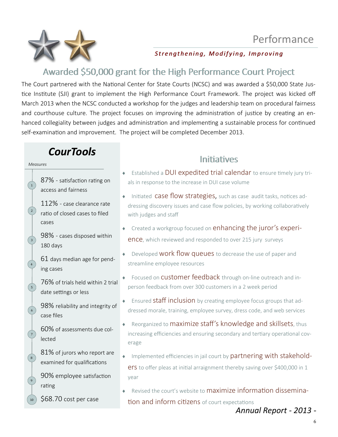



Strengthening, Modifying, Improving

## Awarded \$50,000 grant for the High Performance Court Project

The Court partnered with the National Center for State Courts (NCSC) and was awarded a \$50,000 State Justice Institute (SJI) grant to implement the High Performance Court Framework. The project was kicked off March 2013 when the NCSC conducted a workshop for the judges and leadership team on procedural fairness and courthouse culture. The project focuses on improving the administration of justice by creating an enhanced collegiality between judges and administration and implementing a sustainable process for continued self-examination and improvement. The project will be completed December 2013.

## *CourTools*

*Measures*

 $\left( 1\right)$ 

 $\left( 2 \right)$ 

 $\left( \begin{array}{c} 3 \end{array} \right)$ 

4

5

6

7

 $\left( \begin{array}{c} 8 \end{array} \right)$ 

 $\frac{1}{9}$ 

10

87% - satisfaction rating on access and fairness

112% - case clearance rate ratio of closed cases to filed cases

98% - cases disposed within 180 days

61 days median age for pending cases

76% of trials held within 2 trial date settings or less

98% reliability and integrity of case files

60% of assessments due collected

81% of jurors who report are examined for qualifications

90% employee satisfaction rating

\$68.70 cost per case

- **Initiatives**
- Established a DUI expedited trial calendar to ensure timely jury trials in response to the increase in DUI case volume
- $\bullet$  Initiated **case flow strategies,** such as case audit tasks, notices addressing discovery issues and case flow policies, by working collaboratively with judges and staff
- ◆ Created a workgroup focused on enhancing the juror's experience, which reviewed and responded to over 215 jury surveys
- $\rightarrow$  Developed **WORK flow queues** to decrease the use of paper and streamline employee resources
- Focused on **customer feedback** through on-line outreach and inperson feedback from over 300 customers in a 2 week period
- Ensured **staff inclusion** by creating employee focus groups that addressed morale, training, employee survey, dress code, and web services
- $\bullet$  Reorganized to maximize staff's knowledge and skillsets, thus increasing efficiencies and ensuring secondary and tertiary operational coverage
- Implemented efficiencies in jail court by partnering with stakeholders to offer pleas at initial arraignment thereby saving over \$400,000 in 1 year
- Revised the court's website to maximize information dissemination and inform citizens of court expectations

*Annual Report - 2013 -*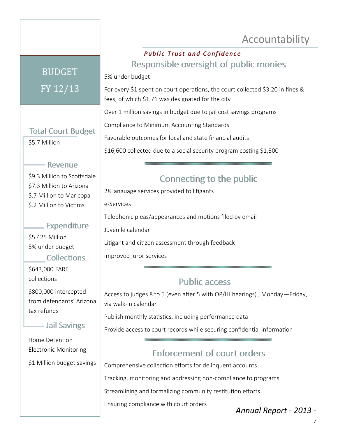## Accountability

# BUDGET FY 12/13

### Total Court Budget

\$5.7 Million

### Revenue

\$9.3 Million to Scottsdale \$7.3 Million to Arizona \$.7 Million to Maricopa \$.2 Million to Victims

### Expenditure

\$5.425 Million 5% under budget

#### **Collections**

\$643,000 FARE collections

\$800,000 intercepted from defendants' Arizona tax refunds

### Jail Savings

Home Detention Electronic Monitoring

\$1 Million budget savings

### **Public Trust and Confidence** Responsible oversight of public monies

5% under budget

For every \$1 spent on court operations, the court collected \$3.20 in fines & fees, of which \$1.71 was designated for the city

Over 1 million savings in budget due to jail cost savings programs

Compliance to Minimum Accounting Standards

Favorable outcomes for local and state financial audits

\$16,600 collected due to a social security program costing \$1,300

## Connecting to the public

28 language services provided to litigants

e-Services

Telephonic pleas/appearances and motions filed by email

Juvenile calendar

Litigant and citizen assessment through feedback

Improved juror services

## Public access

Access to judges 8 to 5 (even after 5 with OP/IH hearings) , Monday—Friday, via walk-in calendar

Publish monthly statistics, including performance data

Provide access to court records while securing confidential information

## Enforcement of court orders

Comprehensive collection efforts for delinquent accounts

Tracking, monitoring and addressing non-compliance to programs

Streamlining and formalizing community restitution efforts

Ensuring compliance with court orders

*Annual Report - 2013 -*